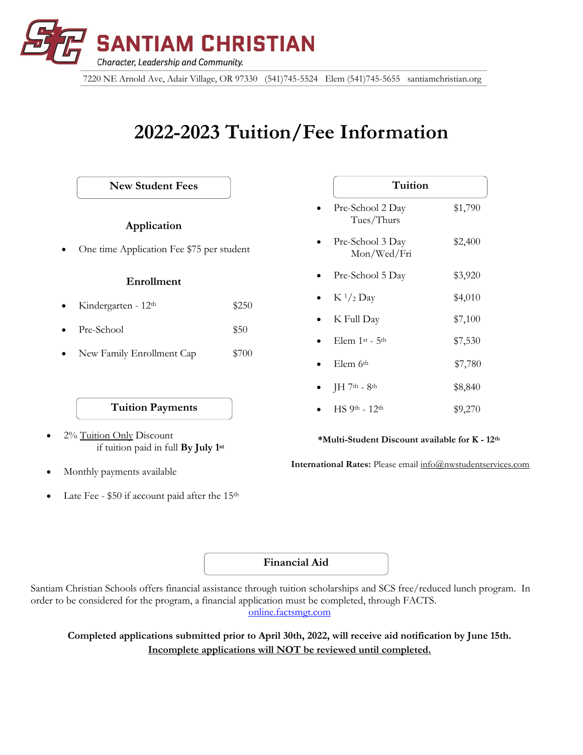

7220 NE Arnold Ave, Adair Village, OR 97330 (541)745-5524 Elem (541)745-5655 santiamchristian.org

# **2022-2023 Tuition/Fee Information**

**\*Multi-Student Discount available for K - 12th International Rates:** Please email info@nwstudentservices.com Pre-School 2 Day \$1,790 Tues/Thurs Pre-School 3 Day \$2,400 Mon/Wed/Fri Pre-School 5 Day \$3,920  $K \frac{1}{2}$  Day \$4,010  $K$  Full Day  $$7,100$  $E$ lem 1<sup>st</sup> - 5<sup>th</sup> \$7,530  $E$ lem 6<sup>th</sup>  $$7,780$  $JH$  7<sup>th</sup> - 8<sup>th</sup>  $$8,840$  $\text{HS } 9^{\text{th}} - 12^{\text{th}}$  \$9,270 **Tuition Tuition Payments** • 2% Tuition Only Discount if tuition paid in full **By July 1st** • Monthly payments available **Application** • One time Application Fee \$75 per student **Enrollment** • Kindergarten - 12th \$250 Pre-School \$50 • New Family Enrollment Cap \$700 **New Student Fees**

Late Fee -  $$50$  if account paid after the 15<sup>th</sup>

**Financial Aid**

Santiam Christian Schools offers financial assistance through tuition scholarships and SCS free/reduced lunch program. In order to be considered for the program, a financial application must be completed, through FACTS. online.factsmgt.com

**Completed applications submitted prior to April 30th, 2022, will receive aid notification by June 15th. Incomplete applications will NOT be reviewed until completed.**